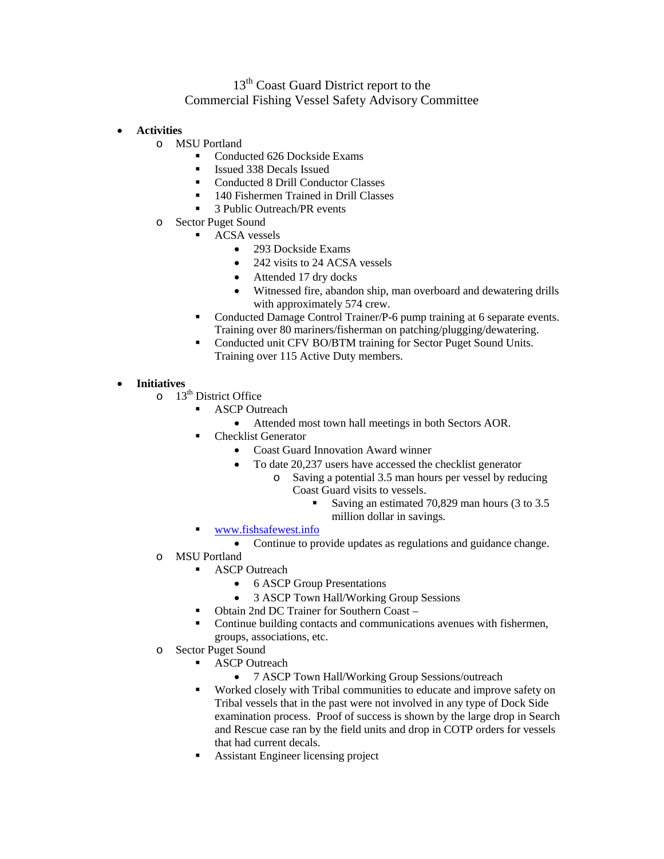## 13<sup>th</sup> Coast Guard District report to the Commercial Fishing Vessel Safety Advisory Committee

- **Activities**
	- o MSU Portland
		- Conducted 626 Dockside Exams
		- Issued 338 Decals Issued
		- Conducted 8 Drill Conductor Classes
		- <sup>1</sup> 140 Fishermen Trained in Drill Classes<br><sup>2</sup> Public Outrooch/PP quants
		- 3 Public Outreach/PR events
	- o Sector Puget Sound
		- ACSA vessels
			- 293 Dockside Exams
			- 242 visits to 24 ACSA vessels
			- Attended 17 dry docks
			- Witnessed fire, abandon ship, man overboard and dewatering drills with approximately 574 crew.
		- Conducted Damage Control Trainer/P-6 pump training at 6 separate events. Training over 80 mariners/fisherman on patching/plugging/dewatering.
		- Conducted unit CFV BO/BTM training for Sector Puget Sound Units. Training over 115 Active Duty members.

## • **Initiatives**

- $\circ$  13<sup>th</sup> District Office
	- ASCP Outreach
		- Attended most town hall meetings in both Sectors AOR.
		- Checklist Generator
			- Coast Guard Innovation Award winner
			- To date 20,237 users have accessed the checklist generator
				- o Saving a potential 3.5 man hours per vessel by reducing Coast Guard visits to vessels.
					- Saving an estimated 70,829 man hours (3 to 3.5 million dollar in savings.
	- [www.fishsafewest.info](http://www.fishsafewest.info/)
		- Continue to provide updates as regulations and guidance change.
- o MSU Portland
	- **ASCP** Outreach
		- 6 ASCP Group Presentations
		- 3 ASCP Town Hall/Working Group Sessions
		- Obtain 2nd DC Trainer for Southern Coast –
		- Continue building contacts and communications avenues with fishermen, groups, associations, etc.
- o Sector Puget Sound
	- ASCP Outreach
		- 7 ASCP Town Hall/Working Group Sessions/outreach
	- Worked closely with Tribal communities to educate and improve safety on Tribal vessels that in the past were not involved in any type of Dock Side examination process. Proof of success is shown by the large drop in Search and Rescue case ran by the field units and drop in COTP orders for vessels that had current decals.
	- Assistant Engineer licensing project